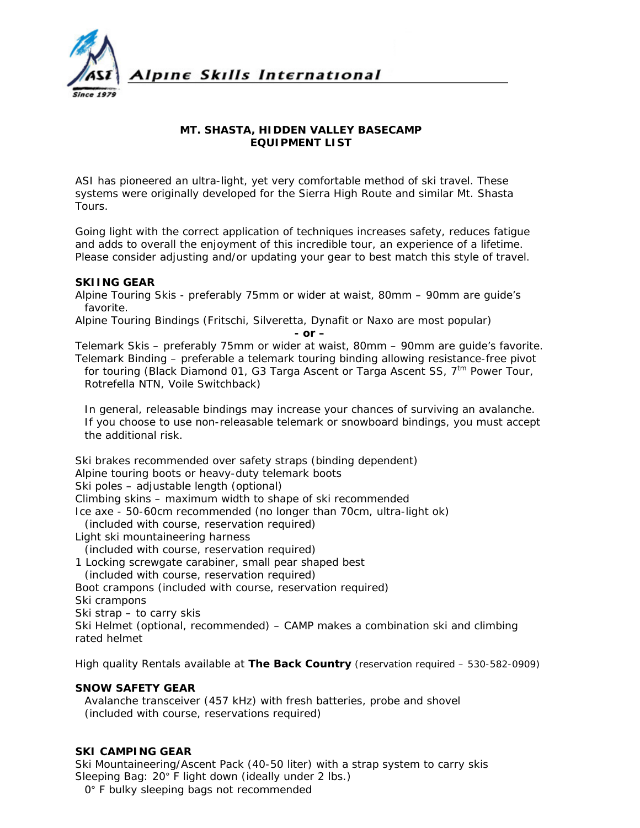

# **MT. SHASTA, HIDDEN VALLEY BASECAMP EQUIPMENT LIST**

ASI has pioneered an ultra-light, yet very comfortable method of ski travel. These systems were originally developed for the Sierra High Route and similar Mt. Shasta Tours.

Going light with the correct application of techniques increases safety, reduces fatigue and adds to overall the enjoyment of this incredible tour, an experience of a lifetime. Please consider adjusting and/or updating your gear to best match this style of travel.

## **SKIING GEAR**

Alpine Touring Skis - preferably 75mm or wider at waist, 80mm – 90mm are guide's favorite.

Alpine Touring Bindings (Fritschi, Silveretta, Dynafit or Naxo are most popular)

*- or –* 

Telemark Skis – preferably 75mm or wider at waist, 80mm – 90mm are guide's favorite. Telemark Binding – preferable a telemark touring binding allowing resistance-free pivot for touring (Black Diamond 01, G3 Targa Ascent or Targa Ascent SS,  $7<sup>tm</sup>$  Power Tour,

Rotrefella NTN, Voile Switchback)

*In general, releasable bindings may increase your chances of surviving an avalanche. If you choose to use non-releasable telemark or snowboard bindings, you must accept the additional risk.* 

Ski brakes recommended over safety straps (binding dependent) Alpine touring boots or heavy-duty telemark boots

Ski poles – adjustable length (optional)

Climbing skins – maximum width to shape of ski recommended

Ice axe - 50-60cm recommended (no longer than 70cm, ultra-light ok)

*(included with course, reservation required)*

Light ski mountaineering harness

*(included with course, reservation required)* 

1 Locking screwgate carabiner, small pear shaped best

*(included with course, reservation required)* 

Boot crampons *(included with course, reservation required)*

Ski crampons

Ski strap – to carry skis

Ski Helmet (optional, recommended) – CAMP makes a combination ski and climbing rated helmet

*High quality Rentals available at The Back Country (reservation required – 530-582-0909)* 

## **SNOW SAFETY GEAR**

Avalanche transceiver (457 kHz) with fresh batteries, probe and shovel *(included with course, reservations required)*

#### **SKI CAMPING GEAR**

Ski Mountaineering/Ascent Pack (40-50 liter) with a strap system to carry skis Sleeping Bag: 20° F light down (ideally under 2 lbs.) 0° F bulky sleeping bags not recommended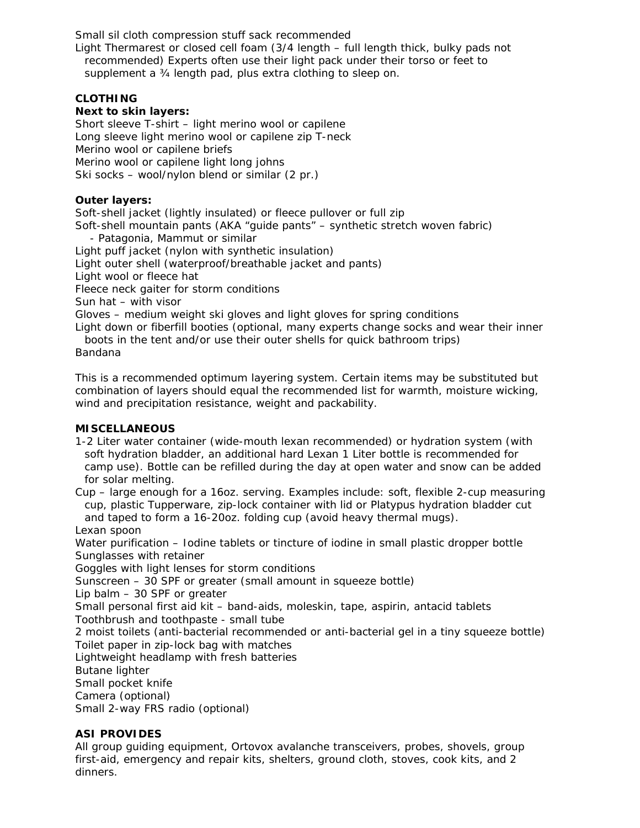Small sil cloth compression stuff sack recommended

Light Thermarest or closed cell foam (3/4 length – full length thick, bulky pads not recommended) Experts often use their light pack under their torso or feet to supplement a ¾ length pad, plus extra clothing to sleep on.

# **CLOTHING**

# **Next to skin layers:**

Short sleeve T-shirt – light merino wool or capilene Long sleeve light merino wool or capilene zip T-neck Merino wool or capilene briefs Merino wool or capilene light long johns Ski socks – wool/nylon blend or similar (2 pr.)

# **Outer layers:**

Soft-shell jacket (lightly insulated) or fleece pullover or full zip Soft-shell mountain pants (AKA "guide pants" – synthetic stretch woven fabric) - Patagonia, Mammut or similar

Light puff jacket (nylon with synthetic insulation) Light outer shell (waterproof/breathable jacket and pants) Light wool or fleece hat Fleece neck gaiter for storm conditions Sun hat – with visor Gloves – medium weight ski gloves and light gloves for spring conditions Light down or fiberfill booties (optional, many experts change socks and wear their inner

boots in the tent and/or use their outer shells for quick bathroom trips) Bandana

*This is a recommended optimum layering system. Certain items may be substituted but combination of layers should equal the recommended list for warmth, moisture wicking, wind and precipitation resistance, weight and packability.* 

## **MISCELLANEOUS**

1-2 Liter water container (wide-mouth lexan recommended) or hydration system (with soft hydration bladder, an additional hard Lexan 1 Liter bottle is recommended for camp use). Bottle can be refilled during the day at open water and snow can be added for solar melting.

Cup – large enough for a 16oz. serving. Examples include: soft, flexible 2-cup measuring cup, plastic Tupperware, zip-lock container with lid or Platypus hydration bladder cut and taped to form a 16-20oz. folding cup (avoid heavy thermal mugs).

Lexan spoon

Water purification – Iodine tablets or tincture of iodine in small plastic dropper bottle Sunglasses with retainer

Goggles with light lenses for storm conditions

Sunscreen – 30 SPF or greater (small amount in squeeze bottle)

Lip balm – 30 SPF or greater

Small personal first aid kit – band-aids, moleskin, tape, aspirin, antacid tablets Toothbrush and toothpaste - small tube

2 moist toilets (anti-bacterial recommended or anti-bacterial gel in a tiny squeeze bottle) Toilet paper in zip-lock bag with matches

Lightweight headlamp with fresh batteries

Butane lighter

Small pocket knife

Camera (optional)

Small 2-way FRS radio (optional)

# **ASI PROVIDES**

All group guiding equipment, Ortovox avalanche transceivers, probes, shovels, group first-aid, emergency and repair kits, shelters, ground cloth, stoves, cook kits, and 2 dinners.